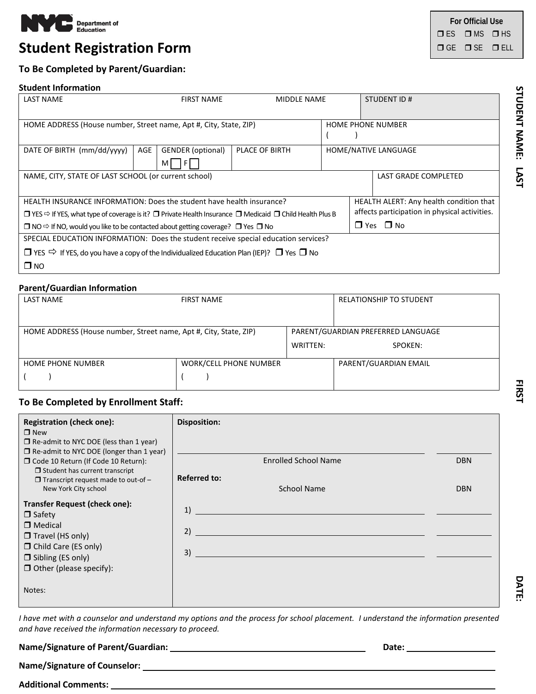

# **Student Registration Form George Student Registration Form**

# **For Official Use**  $I \cup E$ S  $I \cup M$ S  $I \cup H$ S

# **To Be Completed by Parent/Guardian:**

#### **Student Information**

| <b>LAST NAME</b>                                                                                                                             |     | <b>FIRST NAME</b>        | <b>MIDDLE NAME</b>       |                      | STUDENT ID#                                   |  |
|----------------------------------------------------------------------------------------------------------------------------------------------|-----|--------------------------|--------------------------|----------------------|-----------------------------------------------|--|
|                                                                                                                                              |     |                          |                          |                      |                                               |  |
| HOME ADDRESS (House number, Street name, Apt #, City, State, ZIP)                                                                            |     |                          | <b>HOME PHONE NUMBER</b> |                      |                                               |  |
|                                                                                                                                              |     |                          |                          |                      |                                               |  |
| DATE OF BIRTH (mm/dd/yyyy)                                                                                                                   | AGE | <b>GENDER</b> (optional) | <b>PLACE OF BIRTH</b>    |                      | HOME/NATIVE LANGUAGE                          |  |
|                                                                                                                                              |     | M                        |                          |                      |                                               |  |
| NAME, CITY, STATE OF LAST SCHOOL (or current school)                                                                                         |     |                          |                          | LAST GRADE COMPLETED |                                               |  |
|                                                                                                                                              |     |                          |                          |                      |                                               |  |
| HEALTH INSURANCE INFORMATION: Does the student have health insurance?                                                                        |     |                          |                          |                      | HEALTH ALERT: Any health condition that       |  |
| $\Box$ YES $\Leftrightarrow$ If YES, what type of coverage is it? $\Box$ Private Health Insurance $\Box$ Medicaid $\Box$ Child Health Plus B |     |                          |                          |                      | affects participation in physical activities. |  |
| $\Box$ NO $\Leftrightarrow$ If NO, would you like to be contacted about getting coverage? $\Box$ Yes $\Box$ No                               |     |                          |                          |                      | $\Box$ Yes $\Box$ No                          |  |
| SPECIAL EDUCATION INFORMATION: Does the student receive special education services?                                                          |     |                          |                          |                      |                                               |  |
| $\Box$ YES $\Rightarrow$ If YES, do you have a copy of the Individualized Education Plan (IEP)? $\Box$ Yes $\Box$ No                         |     |                          |                          |                      |                                               |  |
| $\square$ NO                                                                                                                                 |     |                          |                          |                      |                                               |  |

#### **Parent/Guardian Information**

| <b>LAST NAME</b>                                                  | <b>FIRST NAME</b>             |          | <b>RELATIONSHIP TO STUDENT</b>     |  |  |
|-------------------------------------------------------------------|-------------------------------|----------|------------------------------------|--|--|
|                                                                   |                               |          |                                    |  |  |
| HOME ADDRESS (House number, Street name, Apt #, City, State, ZIP) |                               |          | PARENT/GUARDIAN PREFERRED LANGUAGE |  |  |
|                                                                   |                               | WRITTEN: | SPOKEN:                            |  |  |
| <b>HOME PHONE NUMBER</b>                                          | <b>WORK/CELL PHONE NUMBER</b> |          | PARENT/GUARDIAN EMAIL              |  |  |
|                                                                   |                               |          |                                    |  |  |

### **To Be Completed by Enrollment Staff:**

| <b>Registration (check one):</b><br>$\Box$ New                                                   | <b>Disposition:</b>                |            |
|--------------------------------------------------------------------------------------------------|------------------------------------|------------|
| $\Box$ Re-admit to NYC DOE (less than 1 year)<br>$\Box$ Re-admit to NYC DOE (longer than 1 year) |                                    |            |
| □ Code 10 Return (If Code 10 Return):<br>$\Box$ Student has current transcript                   | <b>Enrolled School Name</b>        | <b>DBN</b> |
| $\Box$ Transcript request made to out-of -<br>New York City school                               | <b>Referred to:</b><br>School Name | <b>DBN</b> |
| <b>Transfer Request (check one):</b><br>$\Box$ Safety                                            | 1)                                 |            |
| $\Box$ Medical<br>$\Box$ Travel (HS only)                                                        | 2)                                 |            |
| $\Box$ Child Care (ES only)<br>$\Box$ Sibling (ES only)                                          | 3)                                 |            |
| $\Box$ Other (please specify):                                                                   |                                    |            |
| Notes:                                                                                           |                                    |            |

*I have met with a counselor and understand my options and the process for school placement. I understand the information presented and have received the information necessary to proceed.* 

**Name/Signature of Parent/Guardian: Date:** 

**Name/Signature of Counselor:** 

**Additional Comments:** 

DATE:

STUDENT NAME: LAST